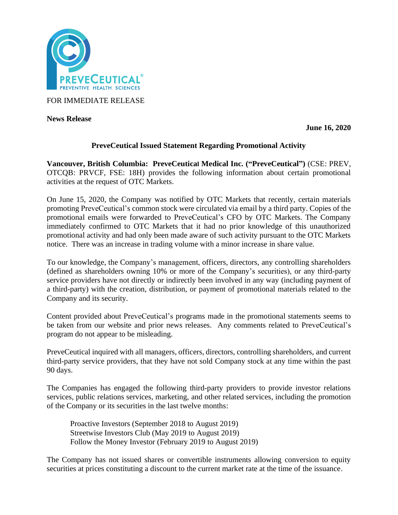

FOR IMMEDIATE RELEASE

**News Release** 

**June 16, 2020**

# **PreveCeutical Issued Statement Regarding Promotional Activity**

**Vancouver, British Columbia: PreveCeutical Medical Inc. ("PreveCeutical")** (CSE: PREV, OTCQB: PRVCF, FSE: 18H) provides the following information about certain promotional activities at the request of OTC Markets.

On June 15, 2020, the Company was notified by OTC Markets that recently, certain materials promoting PreveCeutical's common stock were circulated via email by a third party. Copies of the promotional emails were forwarded to PreveCeutical's CFO by OTC Markets. The Company immediately confirmed to OTC Markets that it had no prior knowledge of this unauthorized promotional activity and had only been made aware of such activity pursuant to the OTC Markets notice. There was an increase in trading volume with a minor increase in share value.

To our knowledge, the Company's management, officers, directors, any controlling shareholders (defined as shareholders owning 10% or more of the Company's securities), or any third-party service providers have not directly or indirectly been involved in any way (including payment of a third-party) with the creation, distribution, or payment of promotional materials related to the Company and its security.

Content provided about PreveCeutical's programs made in the promotional statements seems to be taken from our website and prior news releases. Any comments related to PreveCeutical's program do not appear to be misleading.

PreveCeutical inquired with all managers, officers, directors, controlling shareholders, and current third-party service providers, that they have not sold Company stock at any time within the past 90 days.

The Companies has engaged the following third-party providers to provide investor relations services, public relations services, marketing, and other related services, including the promotion of the Company or its securities in the last twelve months:

Proactive Investors (September 2018 to August 2019) Streetwise Investors Club (May 2019 to August 2019) Follow the Money Investor (February 2019 to August 2019)

The Company has not issued shares or convertible instruments allowing conversion to equity securities at prices constituting a discount to the current market rate at the time of the issuance.